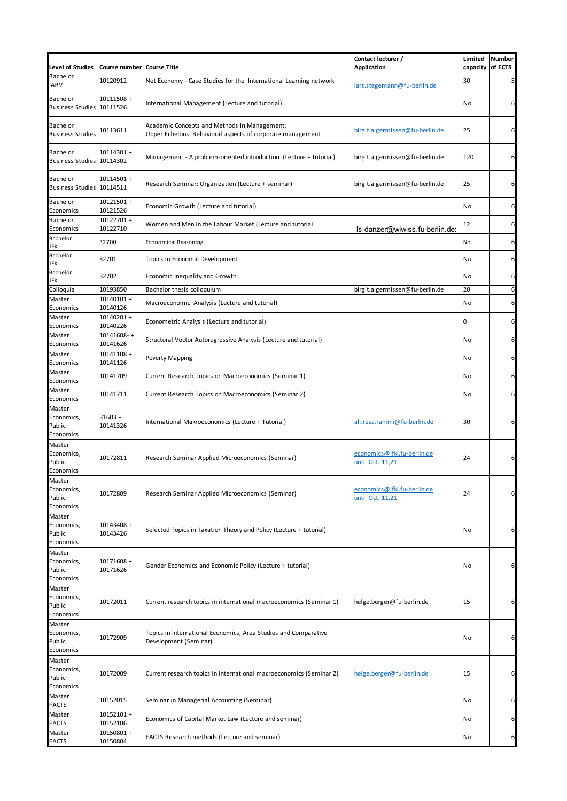| <b>Level of Studies</b>                      | Course number            | <b>Course Title</b>                                                                                        | Contact lecturer /<br>Application               | capacity of ECTS | Limited Number |
|----------------------------------------------|--------------------------|------------------------------------------------------------------------------------------------------------|-------------------------------------------------|------------------|----------------|
| <b>Bachelor</b><br>ABV                       | 10120912                 | Net Economy - Case Studies for the International Learning network                                          | lars.stegemann@fu-berlin.de                     | 30               | 5              |
| <b>Bachelor</b><br>Business Studies 10111526 | 10111508 +               | International Management (Lecture and tutorial)                                                            |                                                 | No               | 6              |
| <b>Bachelor</b><br><b>Business Studies</b>   | 10113611                 | Academic Concepts and Methods in Management:<br>Upper Echelons: Behavioral aspects of corporate management | birgit.algermissen@fu-berlin.de                 | 25               | 6              |
| <b>Bachelor</b><br>Business Studies 10114302 | 10114301 +               | Management - A problem-oriented introduction (Lecture + tutorial)                                          | birgit.algermissen@fu-berlin.de                 | 120              | 6              |
| <b>Bachelor</b><br>Business Studies 10114511 | 10114501 +               | Research Seminar: Organization (Lecture + seminar)                                                         | birgit.algermissen@fu-berlin.de                 | 25               | 6              |
| <b>Bachelor</b><br>Economics                 | 10121501 +<br>10121526   | Economic Growth (Lecture and tutorial)                                                                     |                                                 | No               | 6              |
| Bachelor<br>Economics                        | 10122701+<br>10122710    | Women and Men in the Labour Market (Lecture and tutorial                                                   | ls-danzer@wiwiss.fu-berlin.de:                  | 12               | 6              |
| Bachelor<br>JFK                              | 32700                    | <b>Economical Reasoning</b>                                                                                |                                                 | No               | 6              |
| Bachelor<br>JFK                              | 32701                    | Topics in Economic Development                                                                             |                                                 | No               | 6              |
| Bachelor<br>JFK                              | 32702                    | Economic Inequality and Growth                                                                             |                                                 | No               | 6              |
| Colloquia                                    | 10193850                 | Bachelor thesis colloquium                                                                                 | birgit.algermissen@fu-berlin.de                 | 20               | 6              |
| Master<br>Economics                          | 10140101 +<br>10140126   | Macroeconomic Analysis (Lecture and tutorial)                                                              |                                                 | No               | 6              |
| Master<br>Economics                          | $10140201 +$<br>10140226 | Econometric Analysis (Lecture and tutorial)                                                                |                                                 | $\mathbf 0$      | 6              |
| Master<br>Economics                          | 10141608-+<br>10141626   | Structural Vector Autoregressive Analysis (Lecture and tutorial)                                           |                                                 | <b>No</b>        | 6              |
| Master<br>Economics                          | 10141108 +<br>10141126   | <b>Poverty Mapping</b>                                                                                     |                                                 | No               | 6              |
| Master<br>Economics                          | 10141709                 | Current Research Topics on Macroeconomics (Seminar 1)                                                      |                                                 | No               | 6              |
| Master<br>Economics                          | 10141711                 | Current Research Topics on Macroeconomics (Seminar 2)                                                      |                                                 | No               | 6              |
| Master<br>Economics,<br>Public<br>Economics  | $31603 +$<br>10141326    | International Makroeconomics (Lecture + Tutorial)                                                          | ali.reza.rahimi@fu-berlin.de                    | 30               | 6              |
| Master<br>Economics,<br>Public<br>Economics  | 10172811                 | Research Seminar Applied Microeconomics (Seminar)                                                          | economics@jfki.fu-berlin.de<br>until Oct. 11,21 | 24               | 6              |
| Master<br>Economics,<br>Public<br>Economics  | 10172809                 | Research Seminar Applied Microeconomics (Seminar)                                                          | economics@jfki.fu-berlin.de<br>until Oct. 11,21 | 24               | 6              |
| Master<br>Economics,<br>Public<br>Economics  | 10143408 +<br>10143426   | Selected Topics in Taxation Theory and Policy (Lecture + tutorial)                                         |                                                 | No               | 6              |
| Master<br>Economics,<br>Public<br>Economics  | 10171608 +<br>10171626   | Gender Economics and Economic Policy (Lecture + tutorial)                                                  |                                                 | No               | 6              |
| Master<br>Economics,<br>Public<br>Economics  | 10172011                 | Current research topics in international macroeconomics (Seminar 1)                                        | helge.berger@fu-berlin.de                       | 15               | 6              |
| Master<br>Economics,<br>Public<br>Economics  | 10172909                 | Topics in International Economics, Area Studies and Comparative<br>Development (Seminar)                   |                                                 | No               | 6              |
| Master<br>Economics,<br>Public<br>Economics  | 10172009                 | Current research topics in international macroeconomics (Seminar 2)                                        | helge.berger@fu-berlin.de                       | 15               | 6              |
| Master<br><b>FACTS</b>                       | 10152015                 | Seminar in Managerial Accounting (Seminar)                                                                 |                                                 | No               | 6              |
| Master<br><b>FACTS</b>                       | 10152101 +<br>10152106   | Economics of Capital Market Law (Lecture and seminar)                                                      |                                                 | No               | 6              |
| Master<br><b>FACTS</b>                       | 10150801 +<br>10150804   | FACTS Research methods (Lecture and seminar)                                                               |                                                 | No               | 6              |